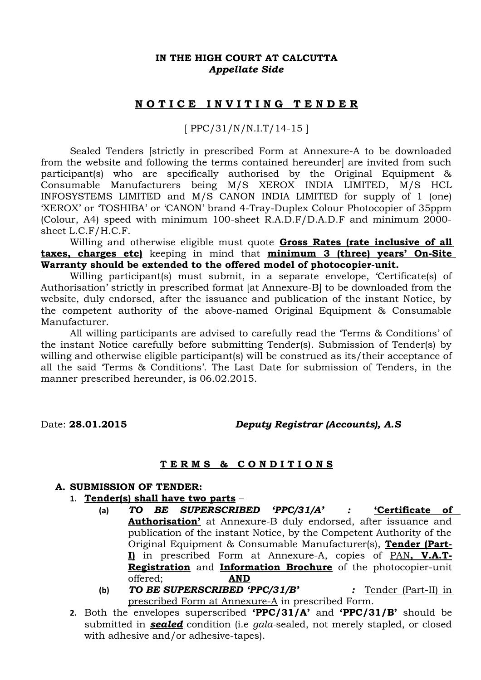### **IN THE HIGH COURT AT CALCUTTA** *Appellate Side*

## **N O T I C E I N V I T I N G T E N D E R**

[ PPC/31/N/N.I.T/14-15 ]

Sealed Tenders [strictly in prescribed Form at Annexure-A to be downloaded from the website and following the terms contained hereunder] are invited from such participant(s) who are specifically authorised by the Original Equipment & Consumable Manufacturers being M/S XEROX INDIA LIMITED, M/S HCL INFOSYSTEMS LIMITED and M/S CANON INDIA LIMITED for supply of 1 (one) 'XEROX' or 'TOSHIBA' or 'CANON' brand 4-Tray-Duplex Colour Photocopier of 35ppm (Colour, A4) speed with minimum 100-sheet R.A.D.F/D.A.D.F and minimum 2000 sheet L.C.F/H.C.F.

Willing and otherwise eligible must quote **Gross Rates (rate inclusive of all taxes, charges etc)** keeping in mind that **minimum 3 (three) years' On-Site Warranty should be extended to the offered model of photocopier-unit.**

Willing participant(s) must submit, in a separate envelope, 'Certificate(s) of Authorisation' strictly in prescribed format [at Annexure-B] to be downloaded from the website, duly endorsed, after the issuance and publication of the instant Notice, by the competent authority of the above-named Original Equipment & Consumable Manufacturer.

All willing participants are advised to carefully read the 'Terms & Conditions' of the instant Notice carefully before submitting Tender(s). Submission of Tender(s) by willing and otherwise eligible participant(s) will be construed as its/their acceptance of all the said 'Terms & Conditions'. The Last Date for submission of Tenders, in the manner prescribed hereunder, is 06.02.2015.

Date: **28.01.2015** *Deputy Registrar (Accounts), A.S*

#### **T E R M S & C O N D I T I O N S**

#### **A. SUBMISSION OF TENDER:**

- **1. Tender(s) shall have two parts**
	- **(a)** *TO BE SUPERSCRIBED 'PPC/31/A' :* **'Certificate of Authorisation'** at Annexure-B duly endorsed, after issuance and publication of the instant Notice, by the Competent Authority of the Original Equipment & Consumable Manufacturer(s), **Tender (Part-I**) in prescribed Form at Annexure-A, copies of PAN, V.A.T. **Registration** and **Information Brochure** of the photocopier-unit offered; **AND**
	- **(b)** *TO BE SUPERSCRIBED 'PPC/31/B' :* Tender (Part-II) in prescribed Form at Annexure-A in prescribed Form.
- **2.** Both the envelopes superscribed **'PPC/31/A'** and **'PPC/31/B'** should be submitted in *sealed* condition (i.e *gala-*sealed, not merely stapled, or closed with adhesive and/or adhesive-tapes).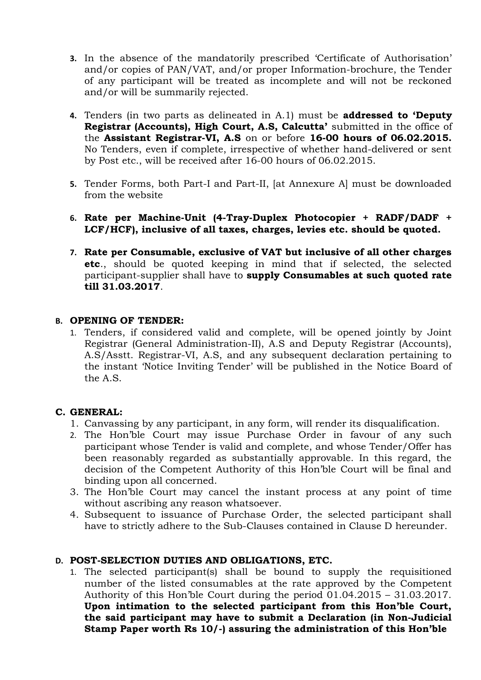- **3.** In the absence of the mandatorily prescribed 'Certificate of Authorisation' and/or copies of PAN/VAT, and/or proper Information-brochure, the Tender of any participant will be treated as incomplete and will not be reckoned and/or will be summarily rejected.
- **4.** Tenders (in two parts as delineated in A.1) must be **addressed to 'Deputy Registrar (Accounts), High Court, A.S, Calcutta'** submitted in the office of the **Assistant Registrar-VI, A.S** on or before **16-00 hours of 06.02.2015.** No Tenders, even if complete, irrespective of whether hand-delivered or sent by Post etc., will be received after 16-00 hours of 06.02.2015.
- **5.** Tender Forms, both Part-I and Part-II, [at Annexure A] must be downloaded from the website
- **6. Rate per Machine-Unit (4-Tray-Duplex Photocopier + RADF/DADF + LCF/HCF), inclusive of all taxes, charges, levies etc. should be quoted.**
- **7. Rate per Consumable, exclusive of VAT but inclusive of all other charges etc**., should be quoted keeping in mind that if selected, the selected participant-supplier shall have to **supply Consumables at such quoted rate till 31.03.2017**.

### **B. OPENING OF TENDER:**

1. Tenders, if considered valid and complete, will be opened jointly by Joint Registrar (General Administration-II), A.S and Deputy Registrar (Accounts), A.S/Asstt. Registrar-VI, A.S, and any subsequent declaration pertaining to the instant 'Notice Inviting Tender' will be published in the Notice Board of the A.S.

### **C. GENERAL:**

- 1. Canvassing by any participant, in any form, will render its disqualification.
- 2. The Hon'ble Court may issue Purchase Order in favour of any such participant whose Tender is valid and complete, and whose Tender/Offer has been reasonably regarded as substantially approvable. In this regard, the decision of the Competent Authority of this Hon'ble Court will be final and binding upon all concerned.
- 3. The Hon'ble Court may cancel the instant process at any point of time without ascribing any reason whatsoever.
- 4. Subsequent to issuance of Purchase Order, the selected participant shall have to strictly adhere to the Sub-Clauses contained in Clause D hereunder.

## **D. POST-SELECTION DUTIES AND OBLIGATIONS, ETC.**

1. The selected participant(s) shall be bound to supply the requisitioned number of the listed consumables at the rate approved by the Competent Authority of this Hon'ble Court during the period 01.04.2015 – 31.03.2017. **Upon intimation to the selected participant from this Hon'ble Court, the said participant may have to submit a Declaration (in Non-Judicial Stamp Paper worth Rs 10/-) assuring the administration of this Hon'ble**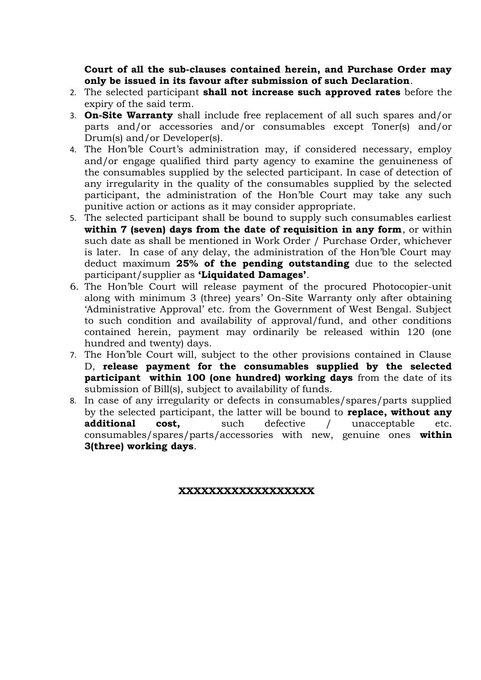**Court of all the sub-clauses contained herein, and Purchase Order may only be issued in its favour after submission of such Declaration**.

- 2. The selected participant **shall not increase such approved rates** before the expiry of the said term.
- 3. **On-Site Warranty** shall include free replacement of all such spares and/or parts and/or accessories and/or consumables except Toner(s) and/or Drum(s) and/or Developer(s).
- 4. The Hon'ble Court's administration may, if considered necessary, employ and/or engage qualified third party agency to examine the genuineness of the consumables supplied by the selected participant. In case of detection of any irregularity in the quality of the consumables supplied by the selected participant, the administration of the Hon'ble Court may take any such punitive action or actions as it may consider appropriate.
- 5. The selected participant shall be bound to supply such consumables earliest **within 7 (seven) days from the date of requisition in any form**, or within such date as shall be mentioned in Work Order / Purchase Order, whichever is later. In case of any delay, the administration of the Hon'ble Court may deduct maximum **25% of the pending outstanding** due to the selected participant/supplier as **'Liquidated Damages'**.
- 6. The Hon'ble Court will release payment of the procured Photocopier-unit along with minimum 3 (three) years' On-Site Warranty only after obtaining 'Administrative Approval' etc. from the Government of West Bengal. Subject to such condition and availability of approval/fund, and other conditions contained herein, payment may ordinarily be released within 120 (one hundred and twenty) days.
- 7. The Hon'ble Court will, subject to the other provisions contained in Clause D, **release payment for the consumables supplied by the selected participant within 100 (one hundred) working days** from the date of its submission of Bill(s), subject to availability of funds.
- 8. In case of any irregularity or defects in consumables/spares/parts supplied by the selected participant, the latter will be bound to **replace, without any additional cost,** such defective / unacceptable etc. consumables/spares/parts/accessories with new, genuine ones **within 3(three) working days**.

#### **XXXXXXXXXXXXXXXXXX**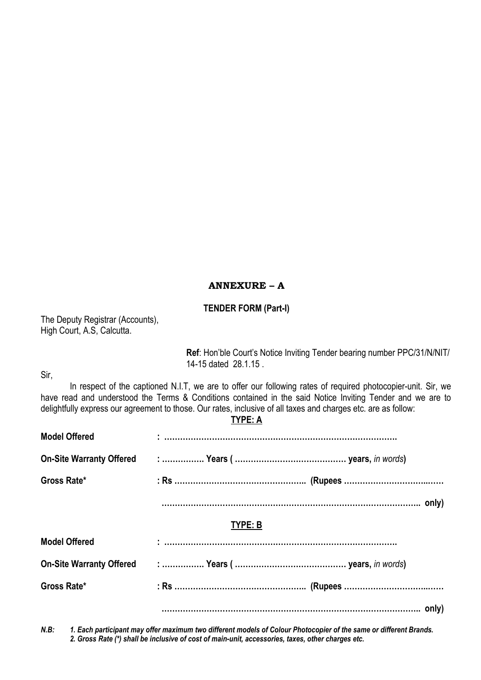# **ANNEXURE – A**

## **TENDER FORM (Part-I)**

The Deputy Registrar (Accounts), High Court, A.S, Calcutta.

> **Ref**: Hon'ble Court's Notice Inviting Tender bearing number PPC/31/N/NIT/ 14-15 dated 28.1.15 .

Sir,

In respect of the captioned N.I.T, we are to offer our following rates of required photocopier-unit. Sir, we have read and understood the Terms & Conditions contained in the said Notice Inviting Tender and we are to delightfully express our agreement to those. Our rates, inclusive of all taxes and charges etc. are as follow:

**TYPE: A**

| <b>Model Offered</b>            |  |  |  |  |
|---------------------------------|--|--|--|--|
| <b>On-Site Warranty Offered</b> |  |  |  |  |
| Gross Rate*                     |  |  |  |  |
|                                 |  |  |  |  |
| TYPE: B                         |  |  |  |  |
| <b>Model Offered</b>            |  |  |  |  |
| <b>On-Site Warranty Offered</b> |  |  |  |  |
| Gross Rate*                     |  |  |  |  |
|                                 |  |  |  |  |

*N.B: 1. Each participant may offer maximum two different models of Colour Photocopier of the same or different Brands. 2. Gross Rate (\*) shall be inclusive of cost of main-unit, accessories, taxes, other charges etc.*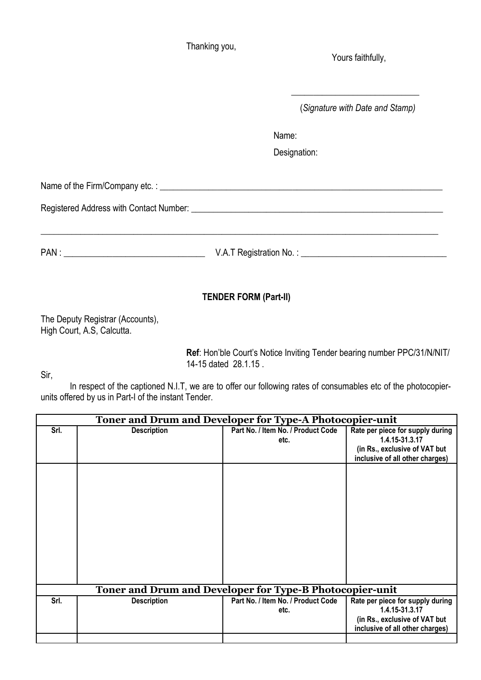Thanking you,

Yours faithfully,

(*Signature with Date and Stamp)*

\_\_\_\_\_\_\_\_\_\_\_\_\_\_\_\_\_\_\_\_\_\_\_\_\_\_\_\_\_

Name:

Designation:

Name of the Firm/Company etc. : \_\_\_\_\_\_\_\_\_\_\_\_\_\_\_\_\_\_\_\_\_\_\_\_\_\_\_\_\_\_\_\_\_\_\_\_\_\_\_\_\_\_\_\_\_\_\_\_\_\_\_\_\_\_\_\_\_\_\_\_\_\_\_\_

Registered Address with Contact Number: \_\_\_\_\_\_\_\_\_\_\_\_\_\_\_\_\_\_\_\_\_\_\_\_\_\_\_\_\_\_\_\_\_\_\_\_\_\_\_\_\_\_\_\_\_\_\_\_\_\_\_\_\_\_\_\_\_

PAN : \_\_\_\_\_\_\_\_\_\_\_\_\_\_\_\_\_\_\_\_\_\_\_\_\_\_\_\_\_\_\_\_ V.A.T Registration No. : \_\_\_\_\_\_\_\_\_\_\_\_\_\_\_\_\_\_\_\_\_\_\_\_\_\_\_\_\_\_\_\_\_

## **TENDER FORM (Part-II)**

The Deputy Registrar (Accounts), High Court, A.S, Calcutta.

> **Ref**: Hon'ble Court's Notice Inviting Tender bearing number PPC/31/N/NIT/ 14-15 dated 28.1.15 .

Sir,

In respect of the captioned N.I.T, we are to offer our following rates of consumables etc of the photocopierunits offered by us in Part-I of the instant Tender.

| Toner and Drum and Developer for Type-A Photocopier-unit |                                                          |                                    |                                  |  |  |  |
|----------------------------------------------------------|----------------------------------------------------------|------------------------------------|----------------------------------|--|--|--|
| Srl.                                                     | <b>Description</b>                                       | Part No. / Item No. / Product Code | Rate per piece for supply during |  |  |  |
|                                                          |                                                          | etc.                               | 1.4.15-31.3.17                   |  |  |  |
|                                                          |                                                          |                                    | (in Rs., exclusive of VAT but    |  |  |  |
|                                                          |                                                          |                                    | inclusive of all other charges)  |  |  |  |
|                                                          |                                                          |                                    |                                  |  |  |  |
|                                                          |                                                          |                                    |                                  |  |  |  |
|                                                          |                                                          |                                    |                                  |  |  |  |
|                                                          |                                                          |                                    |                                  |  |  |  |
|                                                          |                                                          |                                    |                                  |  |  |  |
|                                                          |                                                          |                                    |                                  |  |  |  |
|                                                          |                                                          |                                    |                                  |  |  |  |
|                                                          |                                                          |                                    |                                  |  |  |  |
|                                                          |                                                          |                                    |                                  |  |  |  |
|                                                          |                                                          |                                    |                                  |  |  |  |
|                                                          |                                                          |                                    |                                  |  |  |  |
|                                                          |                                                          |                                    |                                  |  |  |  |
|                                                          | Toner and Drum and Developer for Type-B Photocopier-unit |                                    |                                  |  |  |  |
| Srl.                                                     | <b>Description</b>                                       | Part No. / Item No. / Product Code | Rate per piece for supply during |  |  |  |
|                                                          |                                                          | etc.                               | 1.4.15-31.3.17                   |  |  |  |
|                                                          |                                                          |                                    | (in Rs., exclusive of VAT but    |  |  |  |
|                                                          |                                                          |                                    | inclusive of all other charges)  |  |  |  |
|                                                          |                                                          |                                    |                                  |  |  |  |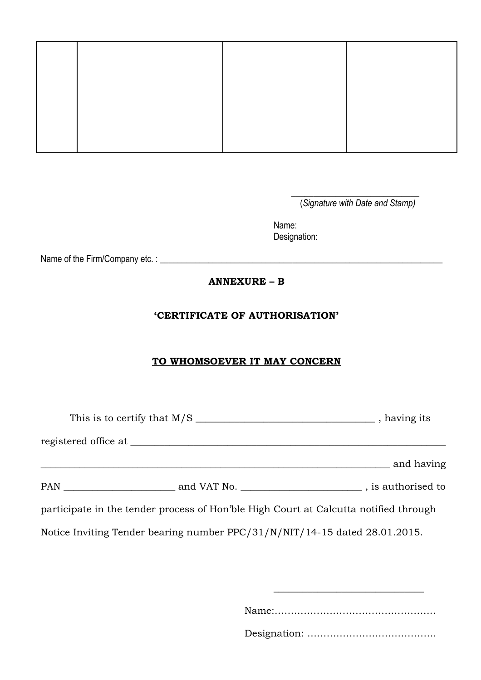\_\_\_\_\_\_\_\_\_\_\_\_\_\_\_\_\_\_\_\_\_\_\_\_\_\_\_\_\_ (*Signature with Date and Stamp)*

Name: Designation:

Name of the Firm/Company etc. : \_\_\_\_\_\_\_\_\_\_\_\_\_\_\_\_\_\_\_\_\_\_\_\_\_\_\_\_\_\_\_\_\_\_\_\_\_\_\_\_\_\_\_\_\_\_\_\_\_\_\_\_\_\_\_\_\_\_\_\_\_\_\_\_

# **ANNEXURE – B**

## **'CERTIFICATE OF AUTHORISATION'**

# **TO WHOMSOEVER IT MAY CONCERN**

|  | and having                                                                           |  |
|--|--------------------------------------------------------------------------------------|--|
|  |                                                                                      |  |
|  | participate in the tender process of Hon'ble High Court at Calcutta notified through |  |
|  | Notice Inviting Tender bearing number PPC/31/N/NIT/14-15 dated 28.01.2015.           |  |
|  |                                                                                      |  |

Name:…………………………………………..

\_\_\_\_\_\_\_\_\_\_\_\_\_\_\_\_\_\_\_\_\_\_\_\_\_\_\_\_\_\_\_

Designation: ………………………………….